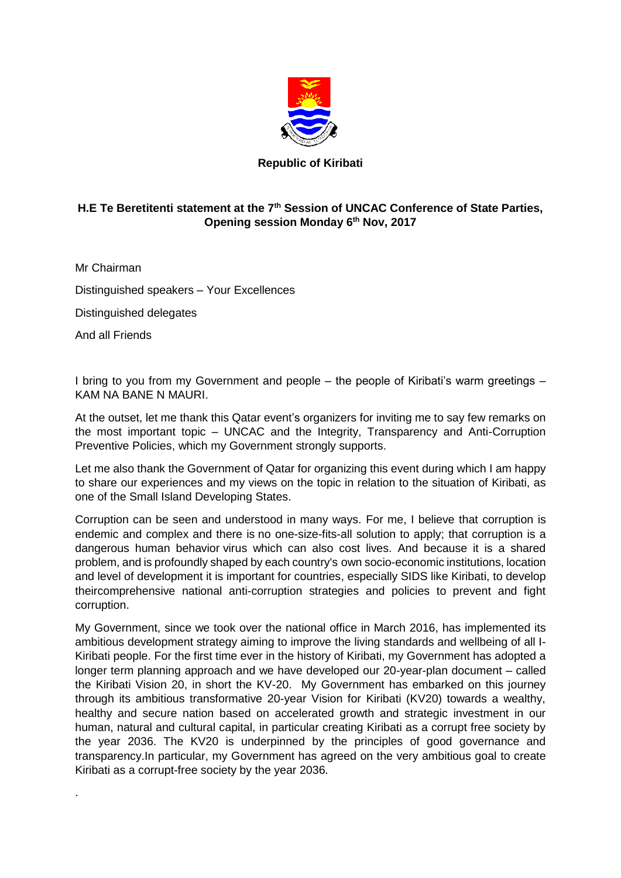

## **Republic of Kiribati**

## **H.E Te Beretitenti statement at the 7th Session of UNCAC Conference of State Parties, Opening session Monday 6th Nov, 2017**

Mr Chairman

Distinguished speakers – Your Excellences

Distinguished delegates

And all Friends

.

I bring to you from my Government and people – the people of Kiribati's warm greetings – KAM NA BANE N MAURI.

At the outset, let me thank this Qatar event's organizers for inviting me to say few remarks on the most important topic – UNCAC and the Integrity, Transparency and Anti-Corruption Preventive Policies, which my Government strongly supports.

Let me also thank the Government of Qatar for organizing this event during which I am happy to share our experiences and my views on the topic in relation to the situation of Kiribati, as one of the Small Island Developing States.

Corruption can be seen and understood in many ways. For me, I believe that corruption is endemic and complex and there is no one-size-fits-all solution to apply; that corruption is a dangerous human behavior virus which can also cost lives. And because it is a shared problem, and is profoundly shaped by each country's own socio-economic institutions, location and level of development it is important for countries, especially SIDS like Kiribati, to develop theircomprehensive national anti-corruption strategies and policies to prevent and fight corruption.

My Government, since we took over the national office in March 2016, has implemented its ambitious development strategy aiming to improve the living standards and wellbeing of all I-Kiribati people. For the first time ever in the history of Kiribati, my Government has adopted a longer term planning approach and we have developed our 20-year-plan document – called the Kiribati Vision 20, in short the KV-20. My Government has embarked on this journey through its ambitious transformative 20-year Vision for Kiribati (KV20) towards a wealthy, healthy and secure nation based on accelerated growth and strategic investment in our human, natural and cultural capital, in particular creating Kiribati as a corrupt free society by the year 2036. The KV20 is underpinned by the principles of good governance and transparency.In particular, my Government has agreed on the very ambitious goal to create Kiribati as a corrupt-free society by the year 2036.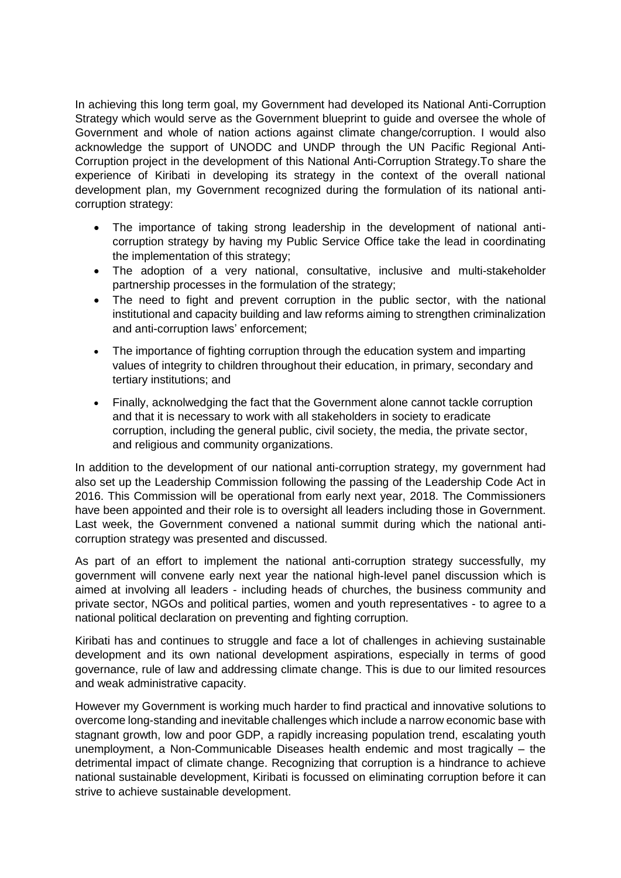In achieving this long term goal, my Government had developed its National Anti-Corruption Strategy which would serve as the Government blueprint to guide and oversee the whole of Government and whole of nation actions against climate change/corruption. I would also acknowledge the support of UNODC and UNDP through the UN Pacific Regional Anti-Corruption project in the development of this National Anti-Corruption Strategy.To share the experience of Kiribati in developing its strategy in the context of the overall national development plan, my Government recognized during the formulation of its national anticorruption strategy:

- The importance of taking strong leadership in the development of national anticorruption strategy by having my Public Service Office take the lead in coordinating the implementation of this strategy;
- The adoption of a very national, consultative, inclusive and multi-stakeholder partnership processes in the formulation of the strategy;
- The need to fight and prevent corruption in the public sector, with the national institutional and capacity building and law reforms aiming to strengthen criminalization and anti-corruption laws' enforcement;
- The importance of fighting corruption through the education system and imparting values of integrity to children throughout their education, in primary, secondary and tertiary institutions; and
- Finally, acknolwedging the fact that the Government alone cannot tackle corruption and that it is necessary to work with all stakeholders in society to eradicate corruption, including the general public, civil society, the media, the private sector, and religious and community organizations.

In addition to the development of our national anti-corruption strategy, my government had also set up the Leadership Commission following the passing of the Leadership Code Act in 2016. This Commission will be operational from early next year, 2018. The Commissioners have been appointed and their role is to oversight all leaders including those in Government. Last week, the Government convened a national summit during which the national anticorruption strategy was presented and discussed.

As part of an effort to implement the national anti-corruption strategy successfully, my government will convene early next year the national high-level panel discussion which is aimed at involving all leaders - including heads of churches, the business community and private sector, NGOs and political parties, women and youth representatives - to agree to a national political declaration on preventing and fighting corruption.

Kiribati has and continues to struggle and face a lot of challenges in achieving sustainable development and its own national development aspirations, especially in terms of good governance, rule of law and addressing climate change. This is due to our limited resources and weak administrative capacity.

However my Government is working much harder to find practical and innovative solutions to overcome long-standing and inevitable challenges which include a narrow economic base with stagnant growth, low and poor GDP, a rapidly increasing population trend, escalating youth unemployment, a Non-Communicable Diseases health endemic and most tragically – the detrimental impact of climate change. Recognizing that corruption is a hindrance to achieve national sustainable development, Kiribati is focussed on eliminating corruption before it can strive to achieve sustainable development.